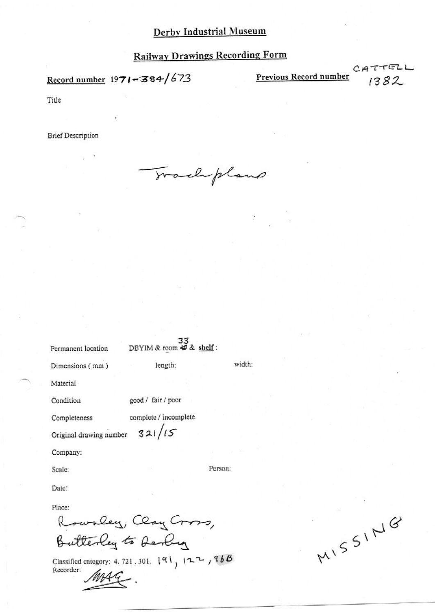Record number  $1971 - 384/673$ 

Previous Record number

CATTELL 1382

Title

**Brief Description** 

Trachpland

DBYIM & room  $\overline{49}$  & shelf:

width:

Person:

Permanent location Dimensions (mm)

length:

Material

Condition

good / fair / poor

Completeness

complete / incomplete  $321/15$ 

Original drawing number

Company:

Scale:

Date:

Place:

Rowsley, Clay Cross, Butterley to Derby

Classified category: 4.721.301.  $|91 \rangle$   $|22 \rangle$   $|86B \rangle$ Recorder:

MISSING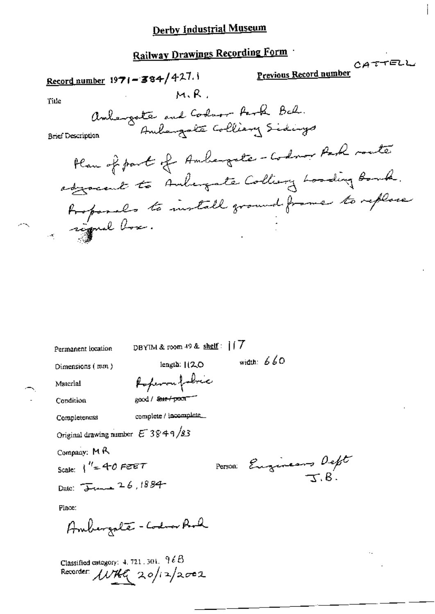Railway Drawings Recording Form CATTELL Previous Record number Record number  $1971 - 384/427.1$  $M, R$ . Title ambergate and Codnor Park Bal. Andergote Colliany Sidings **Brief Description** Plan of part of Ambargate-Codnor Park route adjocent to Anhangate Colliany Loading Bonk. Rospondes to install ground frame to replace DBYIM & room 49 & shelf: | | 7 Permanent location width:  $660$ length: [12.0] Dimensions (mm) Referant police Material good / Sant proof Condition complete / incomplete Completeness Original drawing number  $E^- 3849/83$ Company: MR Person: Eugeneurs Deft Scale:  $1'' = 40$  Feet Date: June 26, 1884 Place: Ambergate - Codra Rod

Classified category:  $4.721.301.$   $96B$ Recorder: *WHG* 20/12/2002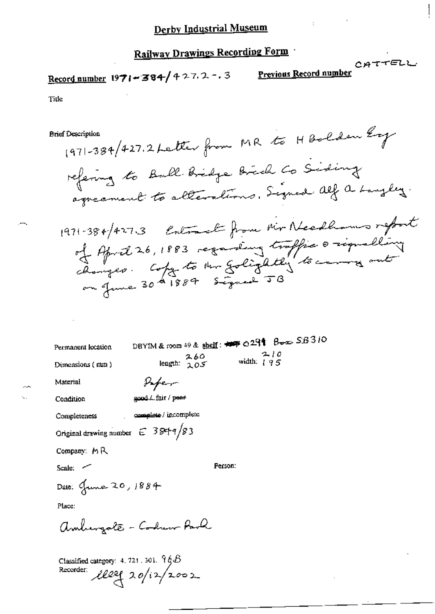CATTELL

Record number 1971-384/427.2-.3

Previous Record number

Title

**Brief Description** 

1971-384/427.2 Letter from MR to H Bolden Ey refering to Ball Bridge Brich Co Siding agreement to alterations. Signed Alf a Langley.

DBYIM & room 49 & shelf: ## 0291 Box SB310 Permanent location  $210$ length:  $\frac{260}{205}$ width:  $195$ Dimensions (mm) Paper Material good / fair / peer Condition complete / incomplete Completeness Original drawing number  $C = 38 + 1/83$ Company: MR Scale: ~ Person: Date: June 20, 1884 Place: amburgate - Codur Park

Classified category: 4, 721 , 301.  $\mathcal{H}\not\!\!\!\!/\,\mathcal{B}$ Recorder:  $1202 (20/2/2002)$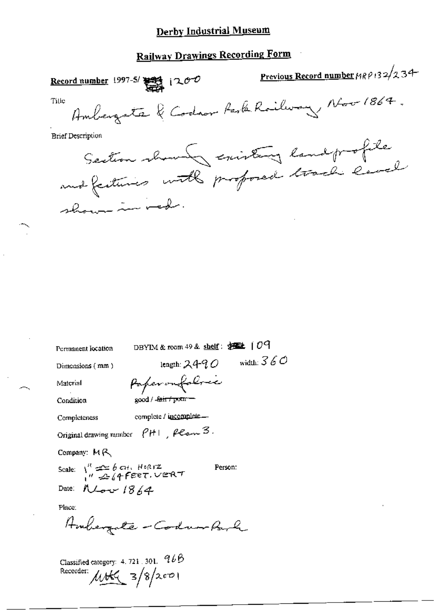## **Railway Drawings Recording Form**

| Record number 1997-5/ $\frac{1000}{2000}$ $(200$ | Previous Record number 1989-132/234       |
|--------------------------------------------------|-------------------------------------------|
| Title                                            | Ambergate & Codron Park Railway Nov 1864. |
| <b>Brief Description</b>                         |                                           |
|                                                  |                                           |
| Section showing existing land profile            |                                           |
| shown in red.                                    |                                           |
|                                                  |                                           |
|                                                  |                                           |
|                                                  |                                           |
|                                                  |                                           |
|                                                  |                                           |
|                                                  |                                           |
|                                                  |                                           |
|                                                  |                                           |
|                                                  |                                           |
|                                                  |                                           |

| DBYIM & room 49 & shelf: $\frac{1}{25}$   09<br>Permanent location                             |
|------------------------------------------------------------------------------------------------|
| width: $360$<br>length: 249 ${\mathcal{O}}$<br>Dimensions (mm)                                 |
| Paperonfolosic<br>Material                                                                     |
| good / <del>Jain / pour</del><br>Condition                                                     |
| complete / incomplete<br>Completeness                                                          |
| Original drawing number $\rho$ H $\rho$ $\rho$ $\rho$ $\sim$ $3$ .                             |
| Company: MR                                                                                    |
| Scale: $\int_{a}^{R}$ $\frac{dS}{dt}$ 6 CH, HORIZ<br>$\frac{dS}{dt}$ (4 FEET, VERT)<br>Person: |
| Date: $N \sim 18/4$                                                                            |
| Place.                                                                                         |
| Ambergate - Codun Park                                                                         |
| $\sim$ $\sim$ $\sim$ $\sim$ $\sim$ $\sim$ $\sim$ $966$                                         |

Classified category: 4, 721, 301,  $965$ Recorder:  $\mu$ the  $\frac{1}{3}/8/2001$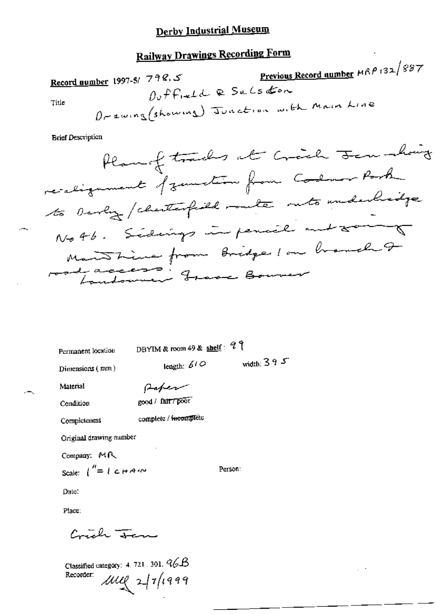## **Railway Drawings Recording Form**

Previous Record number MRP 132/887 Record number 1997-5/798.5  $0,$   $ff_{reld}$  & Selsdon Orewing (showing) Junction with Main Line Title

**Brief Description** 

Person:

Permanent location

DBYIM & room 49 & shelf:  $97$ 

Dimensions (mm)

length:  $60^\circ$ 

width:  $395$ 

Material

Paper good / fair / poor

Condition

complete / facomplète

**Completeness** 

Original drawing number

Company: MR Scale:  $\int_0^R = 1 \cosh A \, dV$ 

Date:

Place:

Content France

Classified category: 4, 721, 301,  $96B$  $\mu_{\ell}$ 2/1/1999 Recorder: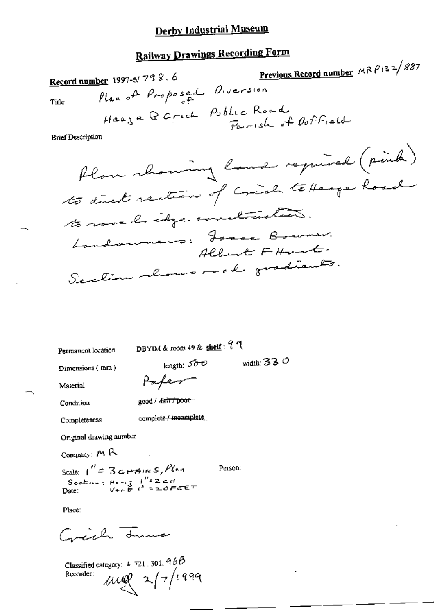## **Railway Drawings Recording Form**

Previous Record number  $MRP$ 132/887 Record number 1997-5/798.6 Plan of Proposed Diversion Title Heage Q Crick Public Road Parish of Outfield **Brief Description** flow showing land required (pink) to direct rection of crich to Heage houd to rove bridge constructions.

Landowners: France Bowmer. Albert FHurt. Section abour road gradiants.

Permanent location

DBYIM & room 49 & shelf: 9 9

Dimensions (mm)

width: 33  $\mathcal O$ 

Material

length:  $500$ Paper

good / fair / poor --

complete / incomplete

Condition

Completeness

Original drawing number

Company: MR

Scale:  $1^H = 3c$ HAINS, Plan Person: Section:  $H_{\text{out}}$   $\frac{1}{2}$   $\frac{1}{2}$   $\frac{1}{2}$   $\frac{1}{2}$   $\frac{1}{2}$   $\frac{1}{2}$   $\frac{1}{2}$   $\frac{1}{2}$   $\frac{1}{2}$   $\frac{1}{2}$   $\frac{1}{2}$   $\frac{1}{2}$   $\frac{1}{2}$   $\frac{1}{2}$   $\frac{1}{2}$   $\frac{1}{2}$   $\frac{1}{2}$   $\frac{1}{2}$   $\frac{1}{2}$   $\frac{1}{2}$   $\$ Date:

Place:

Carich Luma

Classified category: 4, 721, 301,  $9bB$  $\mu$ ull 2/7/1999 Recorder: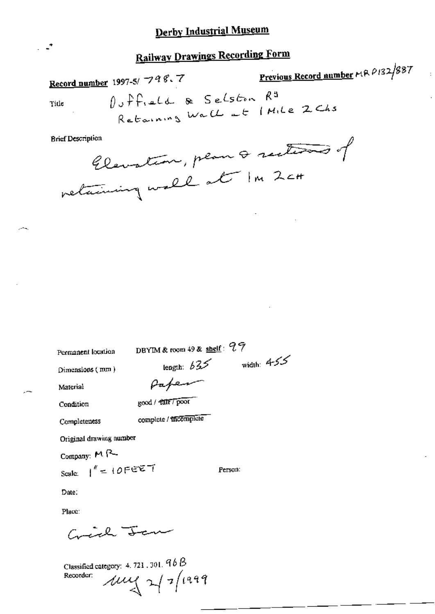## **Railway Drawings Recording Form**

Previous Record number MR 0132/887 Record number 1997-5/ 798.7  $0, f f_{rel}$  & Selston  $R<sup>3</sup>$ Retaining Wall at I Mile 2 Chs Title

**Brief Description** 

 $\cdot$   $\cdot$ <sup>\*</sup>

Elevation, plan & sections of

| Permanent location      | DBYIM & room 49 & shelf: $27$ |              |
|-------------------------|-------------------------------|--------------|
| Dimensions (mm)         | length: 635                   | width: $455$ |
| Material                |                               |              |
| Condition               | good / <b>fair</b> / poor     |              |
| Completeness            | complete / theomplete         |              |
| Original drawing number |                               |              |
| Company: M R-           |                               |              |
| Scale: $1'' = 10FET$    |                               | Person:      |
| Date:                   |                               |              |
| Place:                  |                               |              |
| سليسية                  |                               |              |

Classified category: 4, 721, 301,  $9bB$  $\mu$  /2/2/1999 Recorder: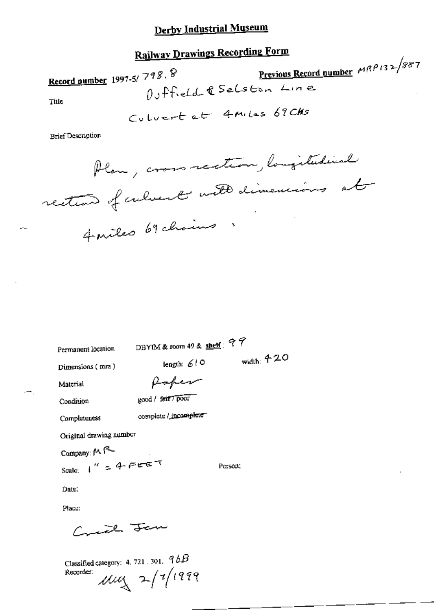## **Railway Drawings Recording Form**

Previous Record number  $MRP/32/887$ Record number 1997-5/798.8 Outfield & Selston Line Title

Culvert at 4 Miles 69 CHS

**Brief Description** 

Plan, cross rection, longitudinal rection of culvert with dimensions at Aniles 69 chains

Permanent location

DBYIM & room 49 & shelf:  $97$ 

width:  $420$ 

Dimensions (mm)

Poper

complete / incomplete

length:  $610$ 

Condition

Material

good / fair 7 poor

Completeness

Original drawing number

Scale:  $1'' = 4.7557$ 

Company: MR-

Person:

Date:

Place:

Crice Jan

Classified category: 4, 721, 301,  $9bB$  $\mu\mu$  2/1/1999 Recorder: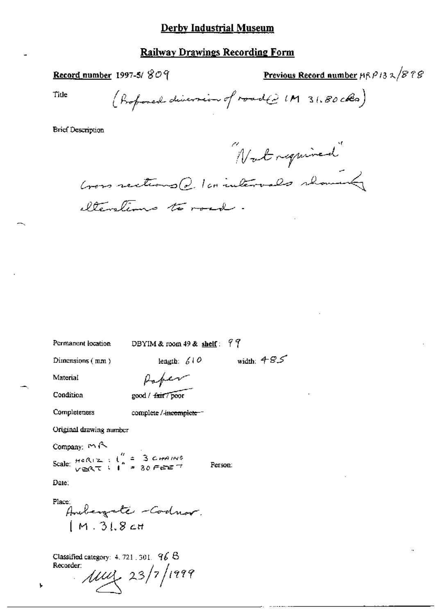## **Railway Drawings Recording Form**

Record number 1997-5/ $809$ 

Previous Record number  $\beta \beta / \beta \gamma \beta$ 

Title

(Profoned diversion of road(2 IM 31.80 cks)

**Brief Description** 

"Not required"

Cross rections @ 1 cointervals showed elterations to road.

width:  $+85$ 

Person:

Permanent location

DBYIM & room 49 & shelf:  $99$ 

length:  $610$ 

Dimensions (mm)

Paper

complete / incomplete-

Condition

Completeness

Material

good / fair / poor

Original drawing number

Company: MR

Scale:  $H^{\circ}R_1Z$  :  $I'' = 3$  CHAINS<br> $V \cong RT$  :  $I'' = 30$  FEET

Date:

Place: Andergate - Codnor.  $[M.31.8c]$ 

Classified category:  $4.721$ ,  $301$ ,  $96$   $8$ Recorder:

 $\mu$ uy 23/7/1999

Ł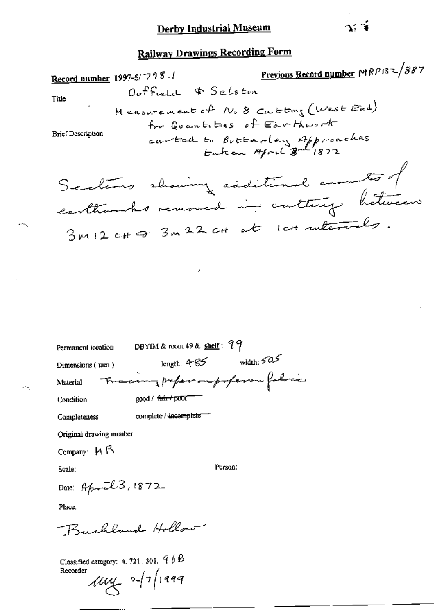Previous Record number MRP132/887 Record number 1997-5/798./ Outfield & Selston Title Measurement of No 8 cutting (West End) for Quantities of Earthwark **Brief Description** carted to Butterley Approaches Sections showing additional anounts of conthusished removed in cultury between 3MIZ CHO 3M22 CH at Ich ruterals.

| Permanent location | DBYIM & room 49 & $\frac{\text{shell}}{3}$ : 79 |              |
|--------------------|-------------------------------------------------|--------------|
| Dimensions $(mm)$  | length: 4 $\approx$                             | width: $505$ |
| Material           | The camppaper on poperor folice                 |              |
| Condition          | $\gcd / \sqrt{6\pi r + p\pi\sigma r}$           |              |
| Completeness       | complete / incomplete                           |              |

Original drawing number

Company:  $M \uparrow$ 

Scale:

Person:

Date: April 3, 1872

Place:

Buchland Hollow

Classified category: 4, 721, 301,  $\mathcal{P} \mathcal{B}$ Recorder:

 $\mu$ uy 2/7/1999

ះប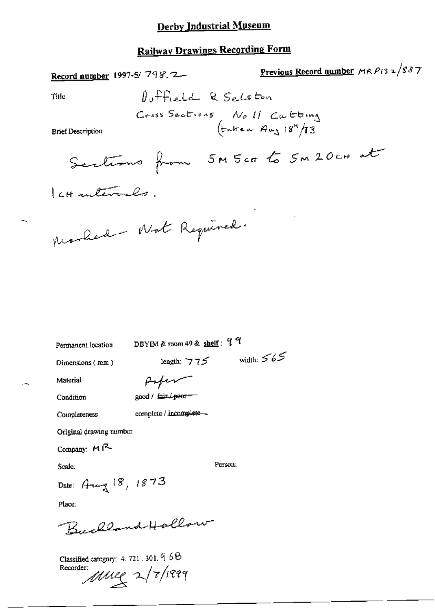## **Railway Drawings Recording Form**

Record number 1997-5/798.2-

 $\overline{2}$ 

Title

$$
J_{\text{u}} + J_{\text{u}} = J_{\text{u}}
$$
 
$$
R_{\text{u}} = J_{\text{u}}
$$
 
$$
C_{\text{u}} = J_{\text{u}}
$$
 
$$
C_{\text{u}}
$$
 
$$
S_{\text{u}}
$$
 
$$
S_{\text{u}}
$$
 
$$
S_{\text{u}}
$$
 
$$
S_{\text{u}}
$$
 
$$
S_{\text{u}}
$$
 
$$
S_{\text{u}}
$$
 
$$
S_{\text{u}}
$$
 
$$
S_{\text{u}}
$$
 
$$
S_{\text{u}}
$$
 
$$
S_{\text{u}}
$$
 
$$
S_{\text{u}}
$$
 
$$
S_{\text{u}}
$$
 
$$
S_{\text{u}}
$$
 
$$
S_{\text{u}}
$$
 
$$
S_{\text{u}}
$$
 
$$
S_{\text{u}}
$$
 
$$
S_{\text{u}}
$$
 
$$
S_{\text{u}}
$$
 
$$
S_{\text{u}}
$$
 
$$
S_{\text{u}}
$$
 
$$
S_{\text{u}}
$$
 
$$
S_{\text{u}}
$$
 
$$
S_{\text{u}}
$$
 
$$
S_{\text{u}}
$$
 
$$
S_{\text{u}}
$$
 
$$
S_{\text{u}}
$$
 
$$
S_{\text{u}}
$$
 
$$
S_{\text{u}}
$$
 
$$
S_{\text{u}}
$$
 
$$
S_{\text{u}}
$$
 
$$
S_{\text{u}}
$$
 
$$
S_{\text{u}}
$$
 
$$
S_{\text{u}}
$$
 
$$
S_{\text{u}}
$$
 
$$
S_{\text{u}}
$$
 
$$
S_{\text{u}}
$$
 
$$
S_{\text{u}}
$$
 
$$
S_{\text{u}}
$$
 
$$
S_{\text{u}}
$$
 
$$
S_{\text{u}}
$$
 
$$
S_{\text{u}}
$$
 
$$
S_{\text{u}}
$$
 
$$
S_{\text{u}}
$$
 
$$
S_{\text{u}}
$$
 
$$
S_{\text{u}}
$$

<u>Previous Record number</u>  $MRP_{13} \approx 887$ 

**Brief Description** 

Morhed - Not Required.

Permanent location

DBYIM & room 49 & shelf: 99

Dimensions (mm)

length:  $775$  width:  $565$ 

Material

Paper

Condition

good / fair / peer-

Completeness

complete / incomplete -

Original drawing number

Company: MR-

Scale:

Person:

Date: Aug 18, 1873

Place:

Buchland Hollow

Classified category: 4, 721, 301, 968

Recorder.<br>Mule 2/7/1999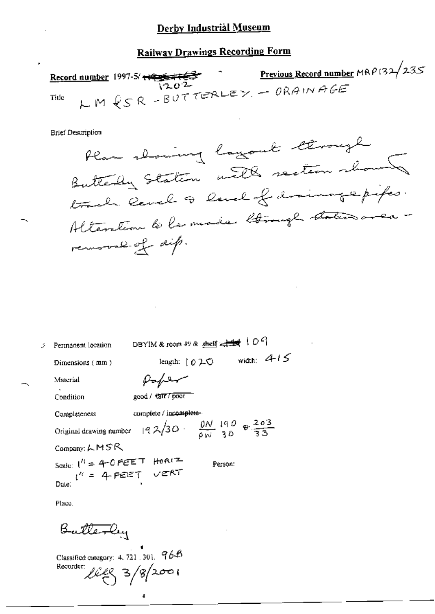## **Railway Drawings Recording Form**

**Previous Record number** MRP132/235 <u>Record number</u> 1997-5/  $\frac{1995 \pm 163}{1202}$ LM & SR-BUTTERLEY - ORAINAGE Title

**Brief Description** 

Plan showing lagout through Butterly Station with section shown trade land to land of draining epipes. Alteration to le made lamage states avec removal of dip.

| Permanent location                                                                                                                                 | DBYIM & room 49 & shell $\leftarrow$ $\leftarrow$ $\leftarrow$ $\leftarrow$ $\leftarrow$ $\leftarrow$ $\leftarrow$ $\leftarrow$ $\leftarrow$ $\leftarrow$ $\leftarrow$ $\leftarrow$ $\leftarrow$ $\leftarrow$ $\leftarrow$ $\leftarrow$ $\leftarrow$ $\leftarrow$ $\leftarrow$ $\leftarrow$ $\leftarrow$ $\leftarrow$ $\leftarrow$ $\leftarrow$ $\leftarrow$ $\leftarrow$ $\leftarrow$ $\leftarrow$ $\leftarrow$ $\leftarrow$ $\leftarrow$ $\leftarrow$ $\leftarrow$ |                     |              |  |
|----------------------------------------------------------------------------------------------------------------------------------------------------|----------------------------------------------------------------------------------------------------------------------------------------------------------------------------------------------------------------------------------------------------------------------------------------------------------------------------------------------------------------------------------------------------------------------------------------------------------------------|---------------------|--------------|--|
| Dimensions $(mn)$                                                                                                                                  |                                                                                                                                                                                                                                                                                                                                                                                                                                                                      | length: $[0, 2, 0]$ | width: $415$ |  |
| Material                                                                                                                                           | $p_{\sigma}/p_{\tau}$                                                                                                                                                                                                                                                                                                                                                                                                                                                |                     |              |  |
| Condition                                                                                                                                          | good / †@IT7 poor                                                                                                                                                                                                                                                                                                                                                                                                                                                    |                     |              |  |
| Completeness                                                                                                                                       | complete / incomplete-                                                                                                                                                                                                                                                                                                                                                                                                                                               |                     |              |  |
| Original drawing number $\left  9 \frac{\lambda}{30} \right $ , $\frac{\lambda}{9}$ , $\frac{\lambda}{3}$ , $\frac{\lambda}{3}$ , $\frac{203}{35}$ |                                                                                                                                                                                                                                                                                                                                                                                                                                                                      |                     |              |  |
| Company: $LMSR$                                                                                                                                    |                                                                                                                                                                                                                                                                                                                                                                                                                                                                      |                     |              |  |
| Scale: $1^n = 4$ -OPEET HORIZ<br>$1^n = 4$ -PEET VERT                                                                                              |                                                                                                                                                                                                                                                                                                                                                                                                                                                                      | Person.             |              |  |
|                                                                                                                                                    |                                                                                                                                                                                                                                                                                                                                                                                                                                                                      |                     |              |  |

Place.

Butterly

Classified category: 4, 721, 301,  $96B$ Recorder:  $l \ell \ell \zeta$  3/8/2001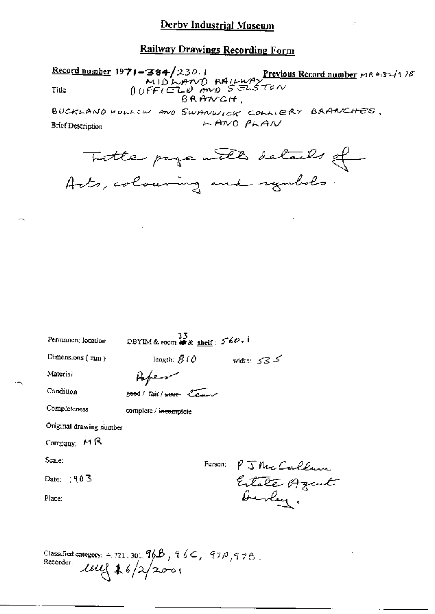Record number 1971-384/230.1<br>MIDLAND RAILWAY<br>Title  $0 \cup F \in (E1, 0 \text{ and } S \in \mathbb{R}^2)$ <br>BRANCH,

BUCKLAND HOLLOW AND SWANWICK COLLIERY BRANCHES,  $FAMO$   $PFAV$ Brief Description

Totte page with details of

| Permanent location      | 33<br>DBYIM & room $\widetilde{\bullet}$ & shelf: $560 - 1$ |                              |
|-------------------------|-------------------------------------------------------------|------------------------------|
| Dimensions $(mn)$       | length: $S(\theta)$                                         | width: $535$                 |
| Material                | Kope                                                        |                              |
| Condition               | good/fair/poor Cent                                         |                              |
| Completeness            | complete / incomplete                                       |                              |
| Original drawing number |                                                             |                              |
| Company: $M R$          |                                                             |                              |
| Scale:                  | Person;                                                     |                              |
| Date: $1903$            |                                                             | P J McCallum<br>Estate Azcul |
| Place:                  |                                                             | Devley.                      |
|                         |                                                             |                              |
|                         |                                                             |                              |

Classified category: 4.721, 301,  $96B$ ,  $96C$ ,  $97A$ ,  $97B$ . Recorder:  $100(16)/200$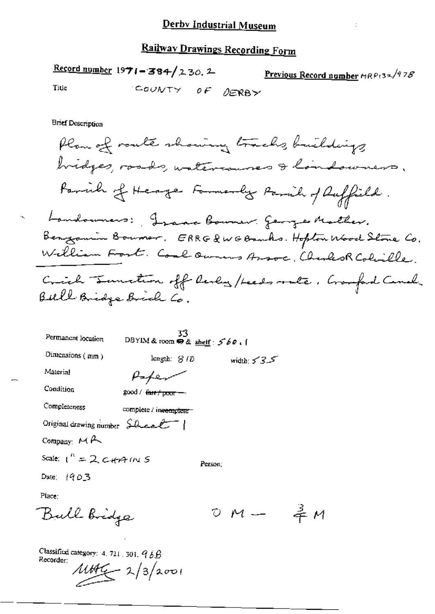Record number  $1971 - 384/230.2$  Previous Record number  $nRP_{132}/978$ COUNTY OF DERBY Title

ł.

**Brief Description** 

| Permanent location              | 33<br>DBYIM & room $\oplus$ & shelf: $560.1$ |         |               |  |
|---------------------------------|----------------------------------------------|---------|---------------|--|
| Dimensions $(mn)$               | $\text{length: } \mathcal{B}/\mathcal{D}$    |         | width: $53.5$ |  |
| Material                        |                                              |         |               |  |
| Condition                       | good / <del>fair/poor</del>                  |         |               |  |
| Completeness                    | complete / inecomplete-                      |         |               |  |
| Original drawing number Sheel   |                                              |         |               |  |
| Company: $M \rightarrow$        |                                              |         |               |  |
| Scale: $1'' = 2$ c-tra $m \leq$ |                                              | Person: |               |  |
| Date: $1903$                    |                                              |         |               |  |
| Place:                          |                                              |         |               |  |
| all bridge                      |                                              |         | $M =$         |  |

Classified category: 4, 721, 301,  $96B$ Recorder:

 $100$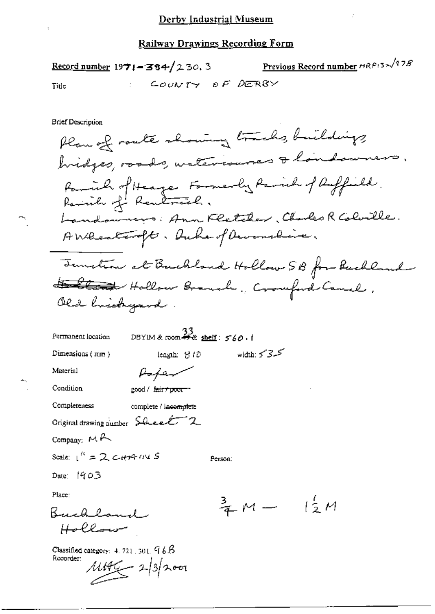Previous Record number MRP132/978 Record number  $1971 - 384/230.3$ COUNTY OF DERBY Title

**Brief Description** 

Plan of route showing tracks, buildings, hidges, roads, waterisares & landaumers. Parcial of Heage Formerly Parcial of Ruffield Landonnings: Ann Fletcher, Charles R Colorille. AWRealtought. Duhe of Devenshine. Temetin at Buckland Hollow SB for Buckland 15 lland Hollow Branch, Crowford Canal. Old brichyard DBYIM & room  $\frac{33}{48}$  shelf:  $560$ , i Permanent location

Material Paper Condition good / fair+poor-Completeness complete / incomplete Original drawing number Sheet 2 Company:  $M \rightarrow$ Scale:  $1^k = 2$  c+++  $1N S$ Person:

leagth:  $810$ 

Date: 1903

Dimensions (mm)

Place:

Buchland Hollow

Classified category:  $4.721$ ,  $301$ ,  $96B$ Recorder:

 $11496 - 2312000$ 

 $\frac{3}{4}M - \frac{1}{2}M$ 

width:  $5 - 3$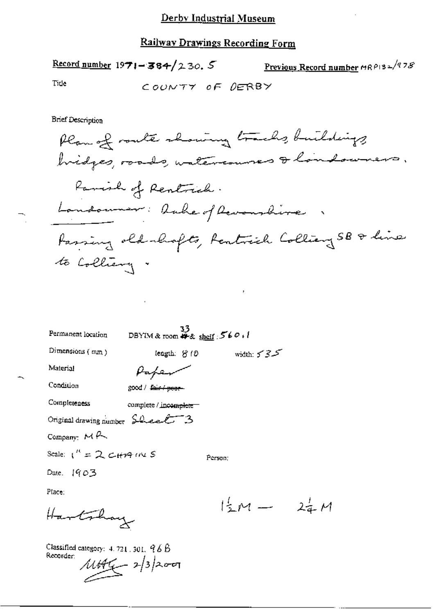Record number 1971 - 384/230. 5 Previous Record number  $nR$ PI3 -  $\sqrt{q78}$ Tide COUNTY OF DERBY

**Brief Description** 

 $\cdot$ 

 $24M$ 

| Permanent location                | 33<br>DBYIM & room ## \$ shelf : 560, 1 |                      |
|-----------------------------------|-----------------------------------------|----------------------|
| Dimensions (mm)                   | length: <del>8</del> 10                 | width: $5 - 3 - 5$   |
| Material                          |                                         |                      |
| Condition                         | good / fair / poor-                     |                      |
| Completeness                      | complete / incomplete =                 |                      |
| Original drawing number $SLeeE-3$ |                                         |                      |
| Company: $M \rightarrow$          |                                         |                      |
| Scale: $1'' = 2$ CHAMES           |                                         | Person:              |
| Date. $[903]$                     |                                         |                      |
| Place:                            |                                         |                      |
| Hartshay                          |                                         | $\frac{1}{2}$ $\sim$ |

Classified category: 4, 721, 301, 96B Recorder:  $11446 - 2/3$ 200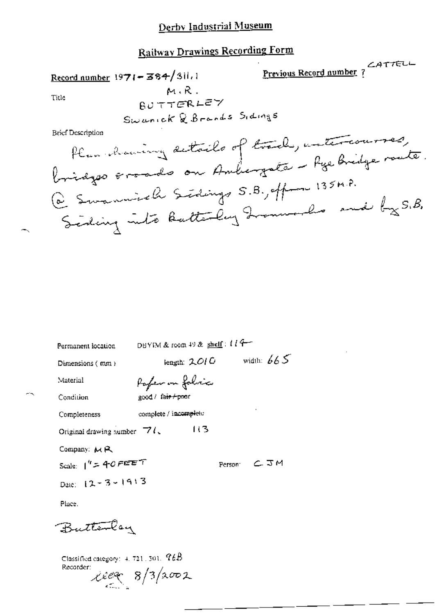## **Railway Drawings Recording Form Previous Record number**?

Record number  $1971 - 384/311.1$  $M.R.$ Title

BUTTERLEY Swanick & Brands Sidings

**Brief Description** 

 $-1$ 

| Permanent location                                              | DBYIM & room 49 & shelf: $l l +$ |                |
|-----------------------------------------------------------------|----------------------------------|----------------|
| Dimensions $(mn)$                                               | length: $2.01$ $0$               | width: $665$   |
| Material                                                        | Pofer on folice                  |                |
| Condition                                                       | good / fa <del>ir / poo</del> r  |                |
| Completeness                                                    | complete / incomplete            |                |
| Original drawing number $\Box$ (                                | 113                              |                |
| Company: $M R$                                                  |                                  |                |
| Scale: $1'' = 40$ FEET                                          |                                  | Person: C. J.M |
| Date: $12 - 3 - 1913$                                           |                                  |                |
| Place.                                                          |                                  |                |
| Butterlay                                                       |                                  |                |
| Classified category: $4.721,501,~\mathcal{C} \& B$<br>Recorder: | xee8/3/0002                      |                |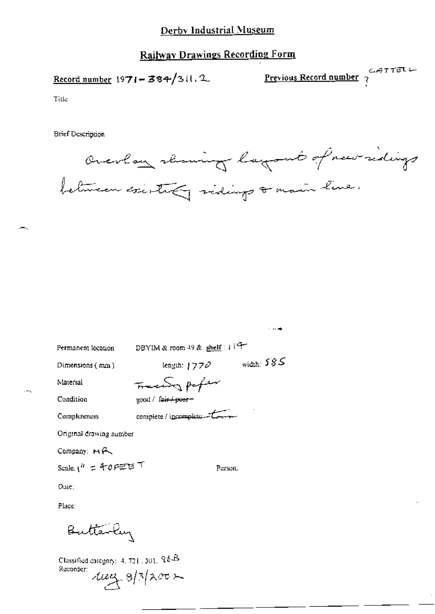## **Railway Drawings Recording Form**

Record number  $1971 - 384/311.2$ 

Previous Record number  $247751$ 

Title

**Brief Description** 



 $\sim$  and  $\sim$ 

| Permanent location              | DBYIM & room 49 & shelf: $4^{19}$ |
|---------------------------------|-----------------------------------|
| Dimensions (mm)                 | width: $585$<br>(eagth: $1770$    |
| Material                        | Frace of paper                    |
| Condition                       | good / fair+poer-                 |
| Completeness                    | complete / incomplete - t         |
| Original drawing number         |                                   |
| Company: $M \rightarrow \infty$ |                                   |
| Scale. $1^{h}$ = 40 PEE T       | Person:                           |
| Date:                           |                                   |

Place:

Butterly

Classified category:  $4, 721, 301, 9b$ Recorder:  $4u\alpha + 8/3$  acc  $\lambda$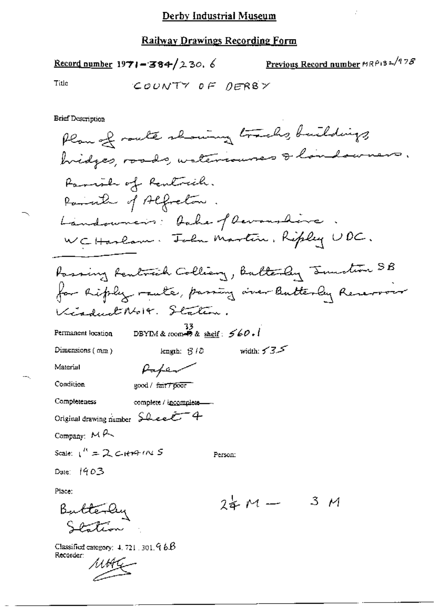## <u>Railway Drawings Recording Form</u>

Previous Record number MRP132/978 Record number 1971-384/230. 6

Title

**Brief Description** 

Plan of route showing tracks, buildings, hidges, roads, wateriauses & landowners. Parish of Rentrich. Parathe of Alfreton. Landouncir: Dake of Devanshire WCHarlow. Toln Martin, Ripley UDC. Passing Rentrich Colliany, Butterly Junction SB for hiply raute, passing over Butterly Reservoir Kinduct Noix. Station. DBYIM & room  $\frac{33}{28}$  shelf:  $560.1$ Permanent location width:  $5.35$ Dimensions  $(mn)$ length:  $3/2$ Material Paper Condition good / fair7 poor Completeness complete / incomplete-Original drawing number Sheet 4 Company:  $M \rightarrow$ Scale:  $1'' = 2$  C-HM-IN S Person: Date: 1903 Place:  $24M -$ 3 M Butterly Classified category:  $4.721.301.96B$ Recorder:

MHI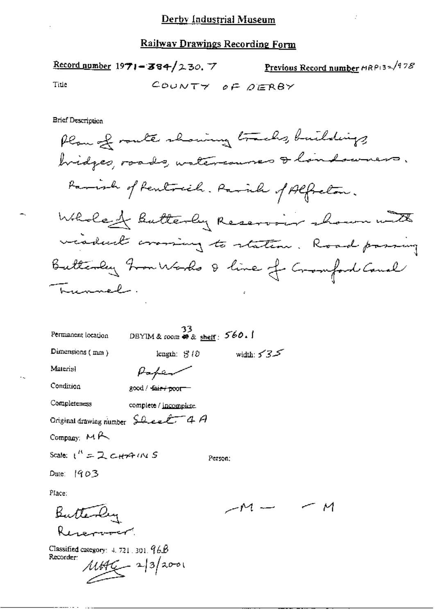|       | Record number 1971-384/230. 7 | Previous Record number HRP132/978 |
|-------|-------------------------------|-----------------------------------|
| Title |                               | COUNTY OF DERBY                   |

**Brief Description** 

Plan of route showing tracks, buildings, bridges, roads, watercourses & landswers. Parish of Rentred. Paril of Alfredom. Whole of Butterby Reservoir shown with viadual crossing to station. Road passing Butterly hon Works & line of Cromford Caual Trunnel.

- M

| Permanent location                            | DBYIM & room $\otimes$ & shelf: $560.1$ | 33      |               |  |
|-----------------------------------------------|-----------------------------------------|---------|---------------|--|
| Dimensions $(mn)$                             | length: 810                             |         | width: $53.5$ |  |
| Material                                      |                                         |         |               |  |
| Condition                                     | good / <del>fair / poor</del>           |         |               |  |
| Completeness                                  | complete / incomplete.                  |         |               |  |
| Original drawing number $\Omega$ even $f$ 4 A |                                         |         |               |  |
| Company: $M \rightarrow$                      |                                         |         |               |  |
| Scale: $1'' = 2$ C+ $(4)$ (N S                |                                         | Person: |               |  |
| Date: $1903$                                  |                                         |         |               |  |
| Place:                                        |                                         |         |               |  |
|                                               |                                         |         |               |  |
|                                               |                                         |         |               |  |
| Classified category: $1.721 \times 201.966$   |                                         |         |               |  |

Recorder:  $\mu$ the  $\sim$  2/3/2001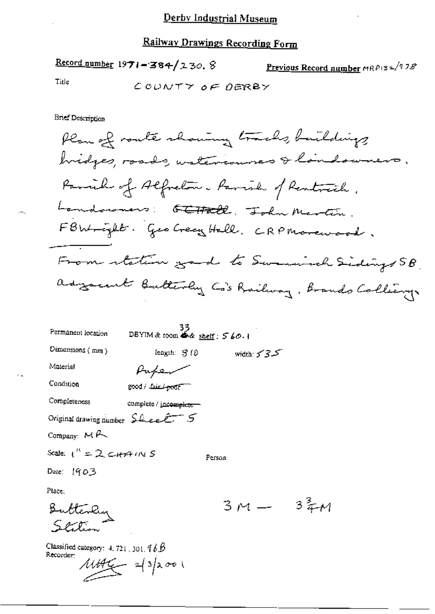Record number  $1971 - 384 / 230.8$ Previous Record number  $MRP$ 132/978 Title COUNTY OF DERBY

**Brief Description** 

Plan of route chaning tracks, buildings bridges, roads, watercourses & landowners. Parril of Alfreton. Parril of Rentreich. Landowners: E<del>t Hall</del>, John Martin. FBW-cylt. Geo Crecy Hall, CRPMorewood. From station good to Swamisch Sidings SB. advancent Butterly Co's Railway, Brands Colleany

| Permanent location                         | 33<br>DBYIM & room $\stackrel{\sim}{\bullet}$ & shelf: $560.1$ |                    |
|--------------------------------------------|----------------------------------------------------------------|--------------------|
| Dimensions (mm)                            | length: $3/8$                                                  | width: $5 - 3 - 5$ |
| Material                                   |                                                                |                    |
| Condition                                  | good / Jain poor                                               |                    |
| Completeness                               | complete / inc <del>omplete</del>                              |                    |
| Original drawing number Sheet 5            |                                                                |                    |
| Company: $M \rightarrow$                   |                                                                |                    |
| Scale: $1'' = 2$ city $4 \cdot 10 \cdot 5$ |                                                                | Person:            |
| Date: $1903$                               |                                                                |                    |
| Place:                                     |                                                                |                    |
|                                            |                                                                |                    |
| witenlus<br>= ser =                        |                                                                |                    |

Classified category:  $4.721$ , 301,  $76B$ Recorder:

 $3\frac{3}{4}$ 1

 $\frac{1144}{1}$  2/3/2001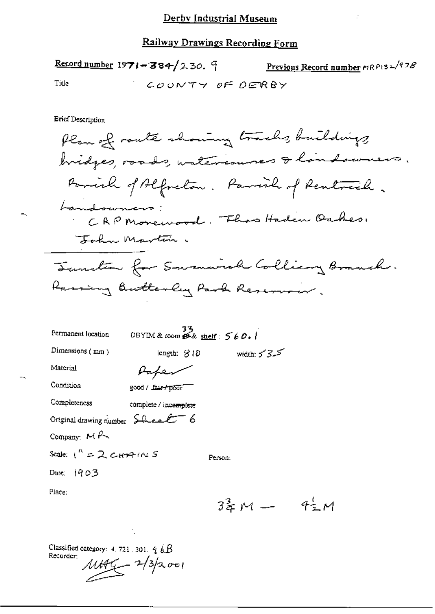Previous Record number MRP132/978 Record number 1971-384/230. 9 Title COUNTY OF DERBY

**Enef Description** 

Plan of route showing tracks, buildings bridges, roads, untercourses & landswers. Parish of Alfreton. Parish of Rentreach. Landowners: CAP Monewood, Fhos Haden Oakes, Forha Martin. Tunction for Swamwich Colling Branch. Rassing Butterly Park Reservoir. 0BYIM & room  $\mathcal{B}$  & shelf:  $560.1$ Permanent location Dimensions (mm) length:  $3/2$ width:  $555$ Material Paper

Person:

Condition good / fair+poor

| Completeness | complete / incomplete |
|--------------|-----------------------|
|--------------|-----------------------|

Original drawing number  $\frac{C}{2\pi\epsilon_0}\epsilon$  6

Company:  $M \wedge$ 

Scale:  $1^{n} = 2$  current S

Date: 1903

Place:

 $3\frac{2}{3}M - 4\frac{1}{2}M$ 

Classified category: 4, 721, 301,  $q_{\ell} \& B$ Recorder:  $1446 - 2/3$ 2001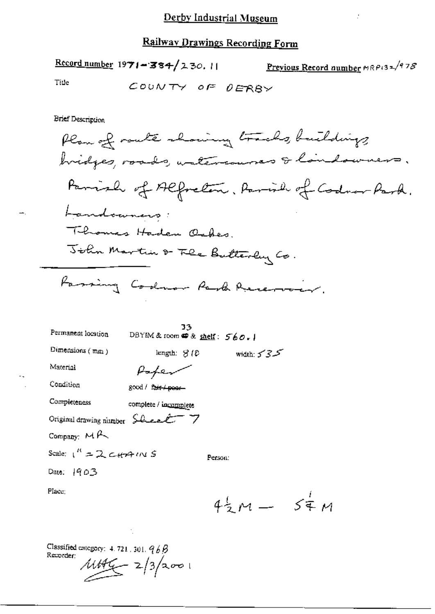Record number 1971-384/230.11 Previous Record number  $MRRP$ 13 $\approx$ /97 $\delta$ Title COUNTY OF DERBY **Brief Description** Plan of route showing tracks, buildings bridges, roads, watercourses & landowners. Parrish of Alfredom, Ramish of Codron Park. Landoaners: Thomas Haden Oshes. John Martin & Fle Butterly Co. Fassing Codnor Rank Reservoir. 33 Permanent location DBYIM & room @ & shelf: 560.1 Dimensions (mm) length:  $3/2$ width:  $5 - 3 - 5$ Material Paper Condition good / fair / poor-Completeness complete / incomplete Original drawing number  $\frac{\partial \mathcal{L}}{\partial \mathbf{r}^T}$  7 Company:  $M \rightarrow$ Scale:  $1^R = 2c\theta$  and  $M = 5$ Person: Date: 1903 Place;  $4\frac{1}{2}m = 5\frac{1}{4}m$ 

Classified category:  $4.721$ ,  $301$ ,  $96B$ Recorder:  $1146 - 2/3/2001$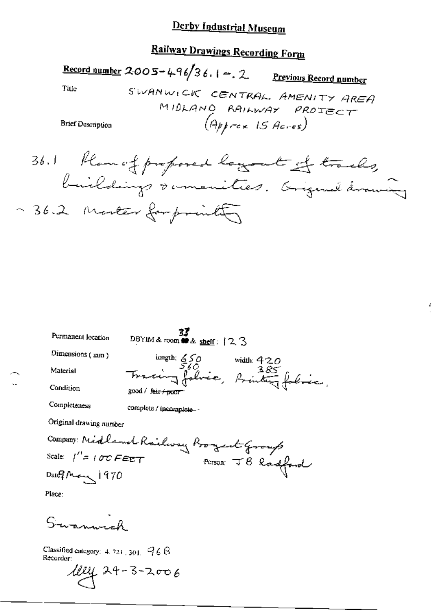## **Railway Drawings Recording Form**

<u>Record number</u> 2005 - 496/36.1 - 2. Previous Record number Title SWANWICK CENTRAL AMENITY AREA MIDLAND RAILWAY PROTECT  $(Apprex \text{ 15} \text{A}cres)$ **Brief Description** 

36.1 Plan of proposed layout of tracks, buildings & imenities. Original drawing ~ 36.2 monter for printing

**37**<br>DBYIM & room ## & shelf:  $(2, 3)$ Permanent location length: 550 width: 420<br>Tracing falsic, Brinting falsic, Dimensions (mm) Material Condition good / fair / poor Completeness complete / incomplete-Original drawing number Company: Midland Railway Boyert Group Scale:  $\int'' z / \sigma z \, F \epsilon E T$ Person: JB Radford Date  $M_{\rm acc}$  1970 Place:  $S$ -wager-ol

Classified entegory: 4, 721, 301,  $968$ Recorder:

 $1042 + 3 - 3 - 2006$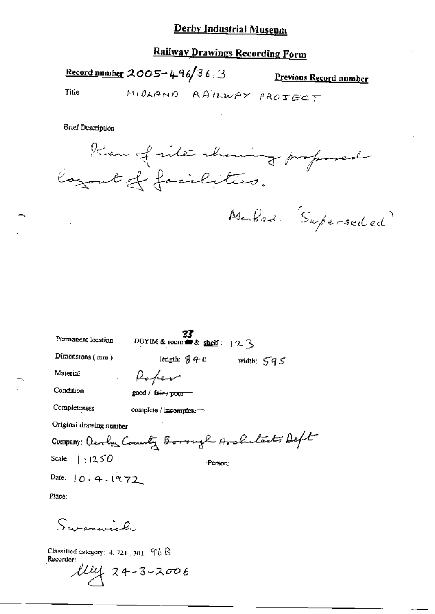## **Railway Drawings Recording Form**

Record number 2005-496/36.3 Previous Record number MIDLAND RAILWAY PROTECT Title

**Brief Description** 



Marked Superseded

| Permanent location             | DBYIM & room $\equiv$ & shelf: $\mid 2 \right.$ |
|--------------------------------|-------------------------------------------------|
| Dimensions $(mn)$              | length: 840<br>width $595$                      |
| Material                       | Paper                                           |
| Condition                      | $good /$ fair $\rightarrow$                     |
| Completeness                   | complete / incomplete -                         |
| Original drawing number        |                                                 |
|                                | Company: Develop Commenty Borough Avaluate Deft |
| Scale: $\vert \cdot \vert 250$ | Person:                                         |
| Date: $10.4.1972$              |                                                 |
| Place:                         |                                                 |
|                                |                                                 |

Classified category: 4, 721, 301,  $96B$ Recorder:

Surenwich

 $104222006$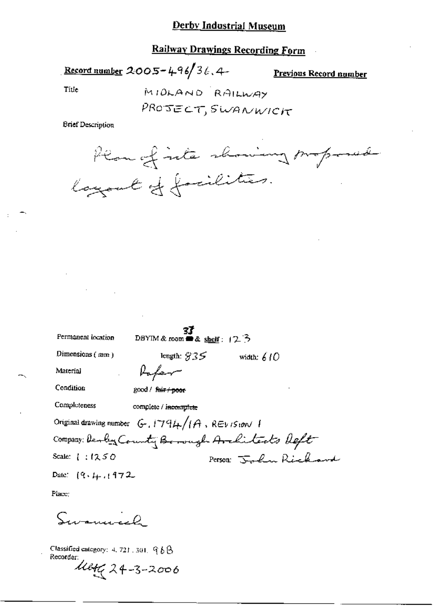## **Railway Drawings Recording Form**

Record number 2005-496/36.4-

Previous Record number

Title

MIDLAND RAILWAY PROJECT, SWANWICK

**Brief Description** 



| Permanent location            | DBYIM & room $\triangle$ & shell: $(2.5)$              |                                               |  |
|-------------------------------|--------------------------------------------------------|-----------------------------------------------|--|
| Dimensions $(mn)$             | length: $935$                                          | width: $610$                                  |  |
| Material                      | Rafer                                                  |                                               |  |
| Condition                     | good / fair + poor                                     |                                               |  |
| Completeness                  | complete / incomplete                                  |                                               |  |
|                               | Original drawing number $G$ , $1794/1A$ , REV IStorV 1 |                                               |  |
|                               |                                                        | Company: Devey County Borough Avalitects Deft |  |
| Scale: $\{ \cdot, \cdot\}$ 50 |                                                        | Person John Richard                           |  |
| Date: $(9, 4, 1, 172)$        |                                                        |                                               |  |

Place:

Simmel

Classified category: 4, 721, 301,  $968$ Recorder: Maty 24-3-2006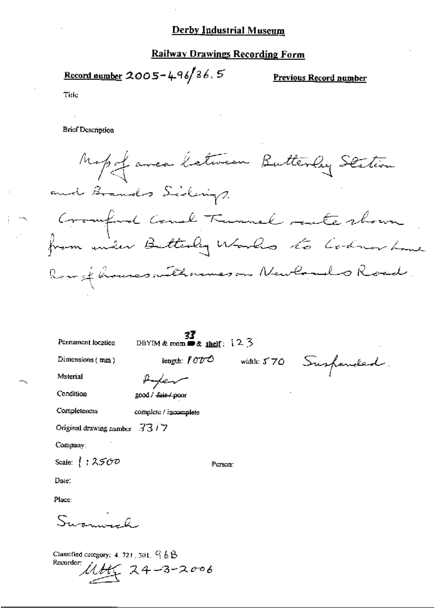## **Railway Drawings Recording Form**

Record number 2005-496/36.5

Previous Record number

Title

**Brief Description** 

Mapof avec letween Butterley Station and Brands Sidenigs. Cromford Couch Tunnel rate shown Row of houses with remes on Newlands Road.

Permanent location

DBYIM & room  $\bullet$  & shelf:  $12.3$ 

Person:

Dimensions  $(mn)$ 

length: 1000 width: 570 Suspended.

Material

Ren good / fair / poor

Condition

Completeness

complete / incomplete

Original drawing number  $33/7$ 

Company:

Scale:  $\left\{\right. : 2500$ 

Date:

Place:

 $S_{\text{train}}$ ,  $\theta$ 

Classified category: 4, 721, 301, 9 6 B Recorder:  $11466$  24-3-2006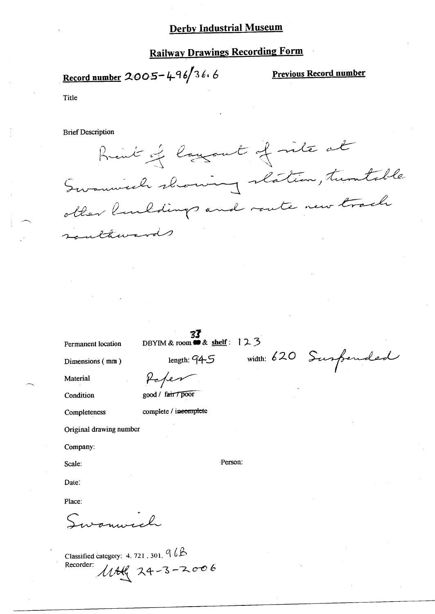## Railway Drawings Recording Form

 $\frac{1}{\text{Record number}}$  2005 – 496/36.6 Previ

Previous Record number

Title

 $\overline{\phantom{0}}$ 

 $\overline{\phantom{1}}$ 

Brief Description

Rent of layout of rite at Swamwech showing slatin, turntable wards

Permanent location DBYIM & room  $\mathbf{B}$ & shelf : 1 2 3

 $D$ imensions (mm) length:  $94-5$ 

Peper

good / fair / poor

**Condition** 

Material

Completeness complete / ineomplete

Original drawing number

Company:

Scale:

Date:

Place:

 $\overline{\phantom{a}}$ 

Classified category:  $4.721.301.$  q  $6P$ Recorder:  $11442222006$ 

width: 620 Surpended

-Person: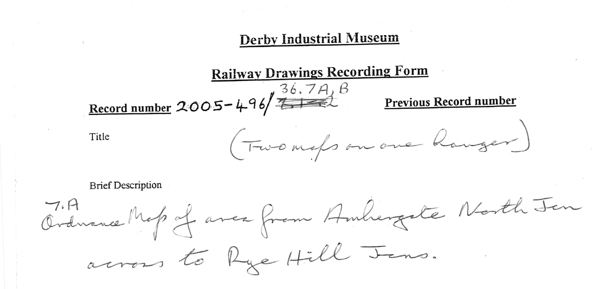Record number 2005-496  $\overbrace{+46}^{36.7A}$   $\overbrace{+42}^{B}$  Previous Record number

Title

**Brief Description** 

7.A Cranave Map of area from Ambergate North Jen across to Rye Hill Jens.

**Derby Industrial Museum** 

(Two maps on one hanger)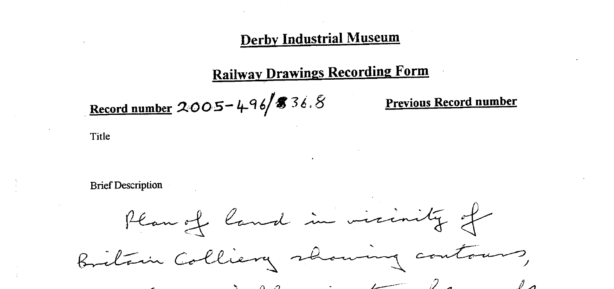# Railway Drawings Recording Form

# Record number  $2005 - 496$  \$ 36.8

Title

**Brief Description** 

## Previous Record number

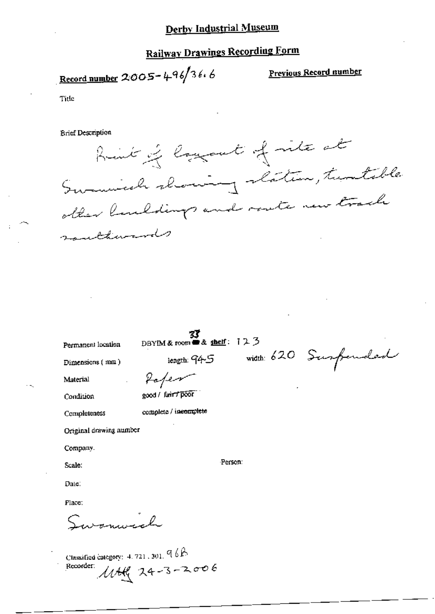## **Railway Drawings Recording Form**

<u>Record number</u> 2005-496/36.6

Previous Record number

Title

**Brief Description** 

hint of long out of rite at Swamich choicing clation, tratable other landdings and route new track raultiments

Permanent location

**33**<br>DBYIM & room a & shelf:  $123$ 

Dimensions (mm)

Refer

Condition

Material

good / farit 7 poor

Completeness

complete / incomplete

Original drawing number

Company.

Scale:

Date:

Place:

Surannol

Classified category: 4, 721, 301,  $966$  $1044$  24-3-2006 Recorder:

length: 945 width: 620 Surfended

Person: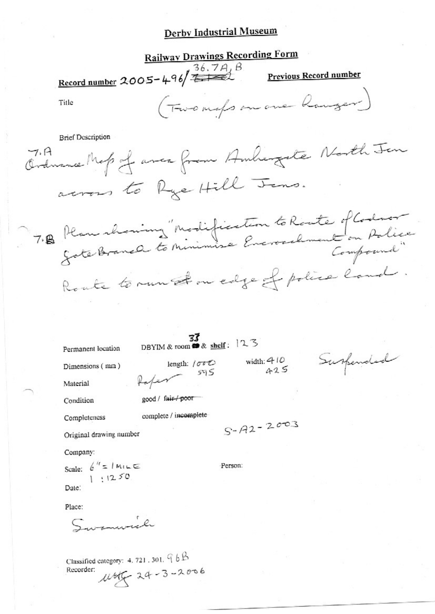**Railway Drawings Recording Form** Record number 2005-496/<del>7.14</del>2 **Previous Record number** (Two maps on one hanger Title **Brief Description** Ordnance Map of avec from Ambiengate North Jen across to Rye Hill Jens. 7. B Plan chaning "Modification to Route of Codnor Route to run Am edge of police land. 33 DBYIM & room & shelf: 123 Permanent location Suspended width:  $410$ <br> $425$ length: / 000 Dimensions (mm) 59 S Paper Material good / fair / poor Condition complete / incomplete Completeness  $S - A2 - 2003$ Original drawing number Company: Scale:  $e^{it} = 1$  Mille Person:  $1:1250$ Date: Place: Summil

Classified category: 4, 721, 301,  $96B$ 1655-24-3-2006 Recorder: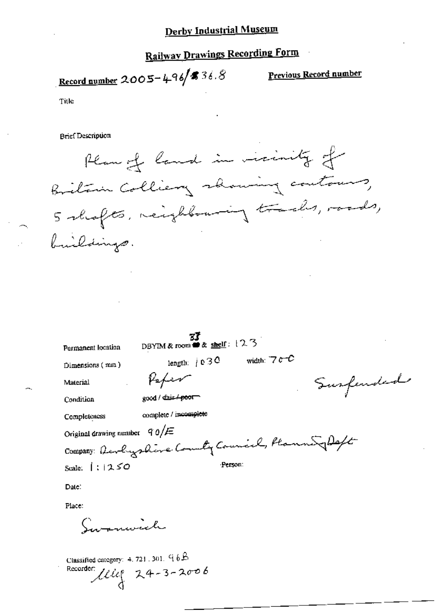## **Railway Drawings Recording Form**

Record number 2005-496 56.8

Previous Record number

Title

**Brief Description** 

Plan of land in vicinity of Britain Colliery showing contours, 5 shafts, neighbouring tracks, roads, buildings.

| Permanent location                                  | DBYIM & room $\triangle$ & shelf: $12.3$ |          |               |  |           |
|-----------------------------------------------------|------------------------------------------|----------|---------------|--|-----------|
| Dimensions (mm)                                     | length: $\int$ e 3 O                     |          | width: $7c$ C |  |           |
| Material                                            | Vaper                                    |          |               |  | Susfended |
| Condition                                           | good / dain/poor                         |          |               |  |           |
| Completeness                                        | complete / incomplete                    |          |               |  |           |
| Original drawing number $90/E$                      |                                          |          |               |  |           |
| Company: Developpline County Council, Planne Joseph |                                          |          |               |  |           |
| Scale: $ 1250$                                      |                                          | -Person: |               |  |           |
| Date:                                               |                                          |          |               |  |           |
| Place:                                              |                                          |          |               |  |           |
|                                                     |                                          |          |               |  |           |

Savanwich

Classified category:  $4.721$ ,  $301$ ,  $96B$ Recorder:  $lliq$  24-3-2006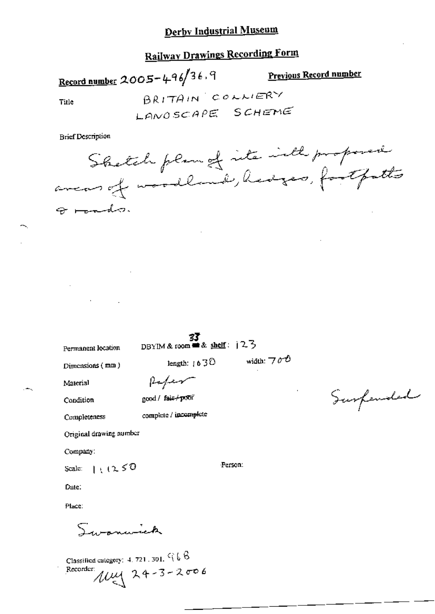## **Railway Drawings Recording Form**

Record number 2005-496/36,9 **Previous Record number** BRITAIN COLLIERY Title LANOSCAPE SCHEME

**Brief Description** 

Shetch plan of its inth proposed

 $\Theta$  reads.

 $\frac{33}{23}$ <br>DBYIM & room = & shelf: | 2-3

Permanent location Dimensions (mm)

width:  $\neg \sigma \mathcal{O}$ length:  $\uparrow$  6  $\uparrow$   $\circ$ 

Material

Refer cood / fair/poor

Condition

complete / incomplete Completeness

Original drawing number

Company:

 $1.1250$ Scale:

Date:

Place:

sommick

Classified category: 4, 721, 301,  $C_1 \& B$ Recorder  $\mu$ <br> $\mu$  24-3-2006

Surfended

Person: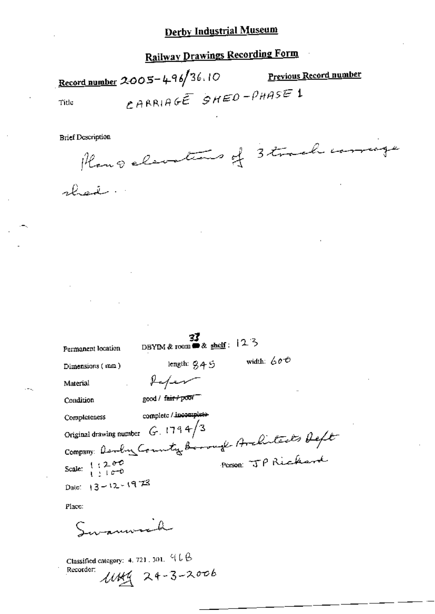## **Railway Drawings Recording Form**

Record number 2005-496/36.10 Previous Record number CARRIAGE SHED-PHASE 1 Title

Planoelementares of 3 track corrige

| Permanent location                                           | DBYIM & room $\bullet$ & shelf: 12 3          |  |
|--------------------------------------------------------------|-----------------------------------------------|--|
| Dimensions (mm)                                              | width: $600$<br>length: 9,4ら                  |  |
| Material                                                     | Kefer                                         |  |
| Condition                                                    | good / fair / poor                            |  |
| Completeness                                                 | complete / incomplete-                        |  |
| Original drawing number                                      | G.1794/3                                      |  |
|                                                              | Company: Danby County Borough Architects Deft |  |
| Scale: $\begin{array}{c} 1, 2, 0.0 \\ 1, 1, 0.0 \end{array}$ | Person: JP Rickard                            |  |
| Date: $13 - 12 - 1973$                                       |                                               |  |
|                                                              |                                               |  |

Place:

Classified category:  $4.721.301.916$  $11449$  24-3-2006 Recorder: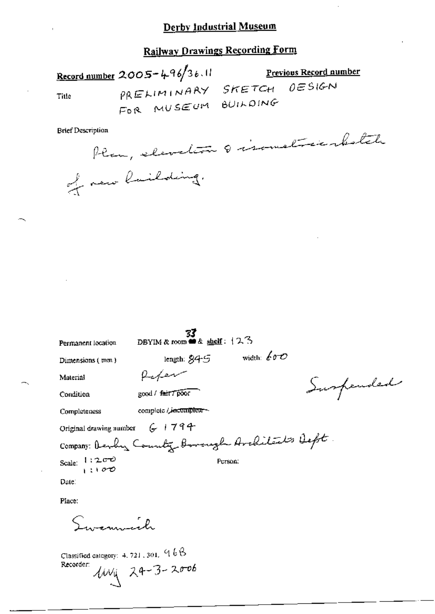## **Railway Drawings Recording Form**

Record number 2005-496/36.11 Previous Record number  $0E$ SIGN PRELIMINARY SKETCH Title FOR MUSEUM BUILDING

**Brief Description** 

Plan, elevation 8 isometricabetale of new lailding.

**33**<br>DBYIM & room  $\triangleq$  shelf:  $12.3$ Permanent location width:  $600$ length:  $845$ Dimensions (mm) anter Material Suspended good / fair7poor Condition complete / incomplete-Completeness Original drawing number  $G + 794$ Company: Develoy Country Borough Architects Deft Scale:  $1:200$ <br> $1:100$ Person: Date: Place: Invernment

Classified category: 4, 721, 301,  $\%$   $6$   $8$  $104$  24-3-2006 Recorder: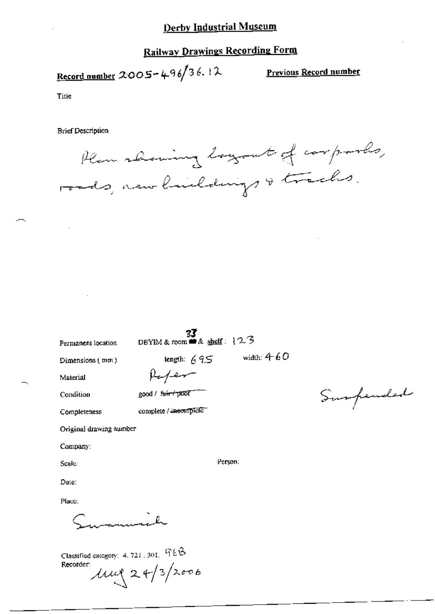## **Railway Drawings Recording Form**

Record number 2005-496/36.12

Previous Record number

Surpended

Title

**Brief Description** 

Plan showing logout of corporles, roads, new buildings & tracks.

|                                       | 33                                                                                                       |
|---------------------------------------|----------------------------------------------------------------------------------------------------------|
| Permanent location                    | DBYIM & room $\triangle$ shelf: $123$                                                                    |
| Dimensions (mm)                       | width: $460$<br>$\begin{array}{l} \text{length: } \text{69.5}\\ \text{length: } \text{69.5} \end{array}$ |
| Material                              |                                                                                                          |
| Condition                             | good / fair+poor                                                                                         |
| Completeness                          | complete / incomplete                                                                                    |
| Original drawing number               |                                                                                                          |
| Company:                              |                                                                                                          |
| Scale:                                | Person:                                                                                                  |
| Date:                                 |                                                                                                          |
| Place:                                |                                                                                                          |
|                                       |                                                                                                          |
| Classified category: 4, 721, 301, 96B |                                                                                                          |

Recorder  $\mu$   $24/3$  2006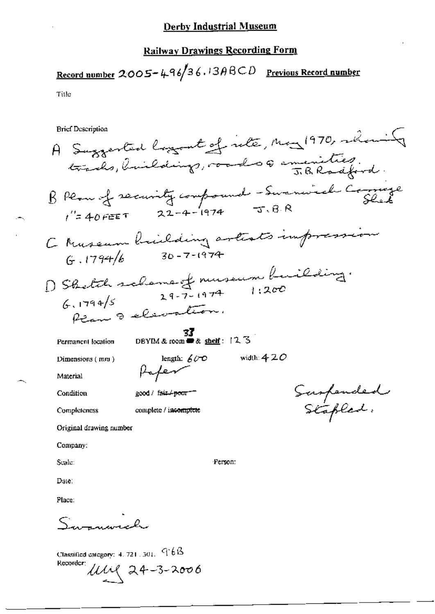## **Railway Drawings Recording Form**

Record number 2005-496/36.13 $\beta$ BCD Previous Record number Title

**Brief Description** 

A Suggested loggent of rete, May 1970, whoming trades, buildings, roads 6 smenities. BPeau of recurity compound - Summired Comings C Museum Railding artists impression D Sketch scheme of museum building.<br>6. 1794/5 29-7-1974 1:200 Ran & elevation. **33**<br>DBYIM & room **a** & shelf: 12.3 Permanent location length:  $600$ width:  $4\,2\,O$ Dimensions  $(mn)$ Paper Material Saspended<br>Stapled: Condition good / fair / poor == Completeness complete / incomplete Original drawing number Company: Scale: Person: Date: Place:

Classified category:  $4.721.301.96B$ Recorder:  $1111$  24-3-2006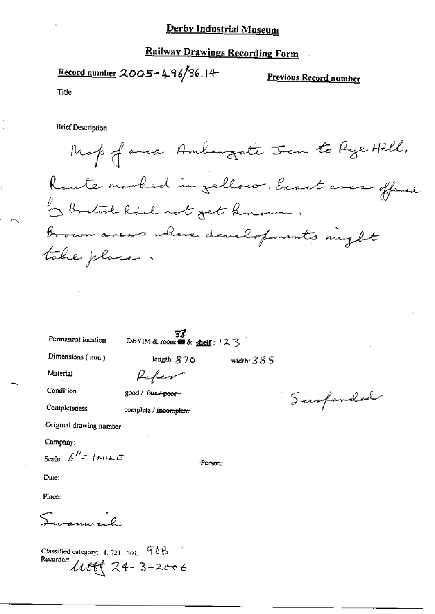## **Railway Drawings Recording Form**

Record number 2005-496/36.14

Previous Record number

Title

**Brief Description** 

Map of anca Ambergate Jen to Rye Hill. Route marked in gellow. East area offered by British Rail not get known. brown areas where developments might take place

Permanent location

DBVIM & room  $\blacksquare$  & shelf:  $12.3$ 

length: S70

Paper

good / fair + poor-

complete / incomplete

Dimensions  $(mm)$ 

width:  $385$ 

Material

Condition

Completeness

Original drawing number

Company;

Scale  $k'' = |minE$ 

Date:

Place:

 $S_{\rm{source}}$ 

Classified category:  $4, 721, 301, 966$ Recorder:  $11166224 - 3 - 2006$ 

Surfended

Person: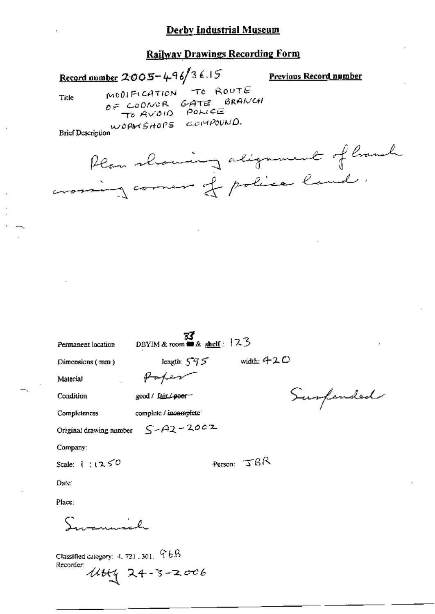## Railway Drawings Recording Form

Record number 2005-496/36.15

**Previous Record number** 

Title

TO ROUTE MODIFICATION GATE BRANCH OF COONER TO AVOID POLICE WORKSHOPS COMPOUND.

**Brief Description** 

Plan showing alignment of hound crossing comer of police land.

| Permanent location | 33<br>DBYIM & room $\triangle$ & shelf: 123 |                            |           |
|--------------------|---------------------------------------------|----------------------------|-----------|
| Dimensions (mm)    |                                             | length: $595$ width: $420$ |           |
| Material           | Haper                                       |                            |           |
| Condition          | good / fair / poer-"                        |                            | Surfended |
| Completeness       | complete / incomplete                       |                            |           |
|                    | Original drawing number $S - A2 = 2002$     |                            |           |
| Company:           |                                             |                            |           |
| Scale: $1:1250$    |                                             | Person: $T6R$              |           |
| Date:              |                                             |                            |           |
| Place:             |                                             |                            |           |
|                    |                                             |                            |           |

Classified category: 4, 721, 301,  $\nabla 6B$ Recorder:  $1444$  24-3-2006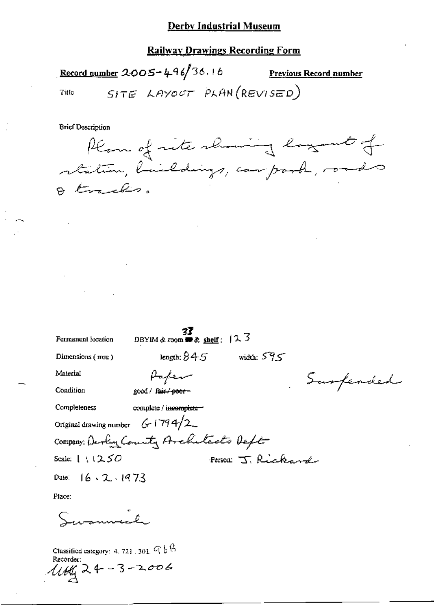## **Railway Drawings Recording Form**

Record number 2005-496/36.16 Previous Record number SITE LAYOUT PLAN (REVISED) Title

**Brief Description** 

|           | Plan of rite showing lagent of     |  |  |
|-----------|------------------------------------|--|--|
|           | station, buildings, carpork, roads |  |  |
| O tracks. |                                    |  |  |

| Permanent location                 | DBYIM & room $\bullet x$ shelf: $12.3$ |                   |           |
|------------------------------------|----------------------------------------|-------------------|-----------|
| Dimensions (mm)                    | length: $845$                          | width: $595$      |           |
| Material                           | سيدعهم فهلهم                           |                   | Surferded |
| Condition                          | good / fair / <del>poor –</del>        |                   |           |
| <b>Completeness</b>                | complete / incomplete -                |                   |           |
| Original drawing number $G$ (794/2 |                                        |                   |           |
|                                    | Company: Develop County Avalutedo Deft |                   |           |
| Scale: $1 \tcdot 1250$             |                                        | Person J. Rickard |           |
| Date: $16.2.1973$                  |                                        |                   |           |
| Place:                             |                                        |                   |           |

ه که باباده با

Classified category: 4, 721, 301,  $\mathcal{Q} \uplus \mathcal{B}$ <br>Recorder:  $1144224 - 3 - 2006$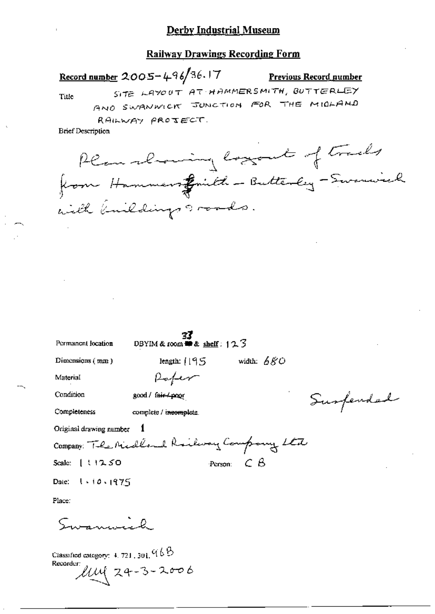Record number 2005-496/36.17

## **Previous Record number**

Title

SITE LAYOUT AT HAMMERSMITH, BUTTERLEY

AND SWANWICK JUNCTION FOR THE MIDLAND

RAILWAY PROJECT.

**Brief Description** 

Plan showing logout of tracks from Hammers filled - Butterley - Sevenwich with knildings roads.

| Permanent location                        | 33<br>DBYIM & room $\blacksquare$ & shelf: $12.7$ |                     |              |           |
|-------------------------------------------|---------------------------------------------------|---------------------|--------------|-----------|
| Dinensions $(mn)$                         | length: $1195$                                    |                     | width: $680$ |           |
| Material                                  | $P$ afer                                          |                     |              |           |
| Condition                                 | good / fair / poor                                |                     |              | Surfendad |
| Completeness                              | complete / incomplete.                            |                     |              |           |
| Original drawing number                   |                                                   |                     |              |           |
| Company: The Michland Railway Company Ltd |                                                   |                     |              |           |
| Scale: $[31250$                           |                                                   | Person: $C$ $\beta$ |              |           |
| Date: 1 . 10 . 1975                       |                                                   |                     |              |           |
| Place:                                    |                                                   |                     |              |           |
|                                           |                                                   |                     |              |           |

Swaminich

Classified category:  $4.721,301,96$ Recorder:  $UM 24-3-2006$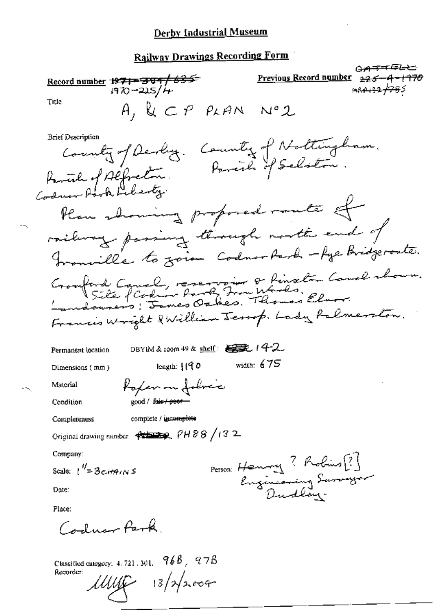## **Railway Drawings Recording Form**

@<del>a==</del>⊊— **Record number**  $\frac{19712884}{1970-225/4}$ Previous Record number <del>- 1970</del>  $225$ ك<del>92/ 12</del>9 كەمم Title A, & CP PLAN Nº2 **Brief Description** County of Devly. County of Nottingham.<br>inh of Alfreton. Pareile of Selston. Raminh of Alfredon. Plan showing proposed rante of railway passing through month end of Francille to zoion Codnor Park - Age Bridgeroates. Cronford Caual, reservoir o Rinxton Caual chour.<br>Site fCodur Park Inn Works, Elvor. Francis Wright & William Jessop. Lady Rolmerston. DBYIM & room 49 & shelf:  $\mathbf{g}$ ,  $(4-2)$ Permanent location length:  $\{\langle \hat{\mathbf{q}} | \hat{\mathbf{p}} \rangle\}$ width:  $675$ Dimensions (mm) Poper on Johnic Material Condition good / fair / peercomplete / incomplete Completeness Original drawing number  $\overline{\leftarrow}$   $\overline{\leftarrow}$   $\overline{\leftarrow}$   $\overline{\leftarrow}$   $\overline{\leftarrow}$   $\overline{\leftarrow}$   $\overline{\leftarrow}$   $\overline{\leftarrow}$   $\overline{\leftarrow}$   $\overline{\leftarrow}$   $\overline{\leftarrow}$   $\overline{\leftarrow}$   $\overline{\leftarrow}$   $\overline{\leftarrow}$   $\overline{\leftarrow}$   $\overline{\leftarrow}$   $\overline{\leftarrow}$   $\overline{\leftarrow}$   $\overline{\leftarrow}$   $\overline{\leftarrow$ Company: Person: Henney ? Robins [?]<br>Engineering Surveyor Scale:  $1'' = 3c$  in A<sub>1N</sub> S Date: Place: Codum Park

Classified category: 4, 721, 301,  $968, 978$ Recorder:

 $111116 - 13/72004$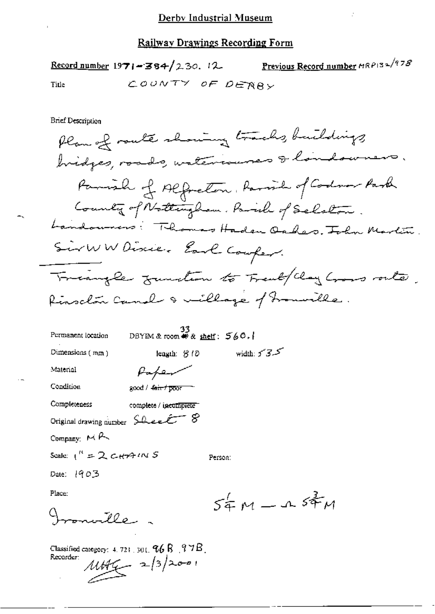Previous Record number MRP132/978 Record number 1971-384/230. 12 COUNTY OF DEABY Title

**Brief Description** 

Plan of route showing tracks, buildings bridges, roads, watercourses & landowners. Parish of Alfreton, Parish of Codnor Park County of Nottingham. Paralle of Selston. Landonners: Thomas Haden Oakes, John Martin SirWW Discier Earl Couper. Triangle function to Frenk/Clay Cross router. Rinschin Camel & millage of Francisle.

| Permanent location        | 33<br>DBYIM & room $\bullet$ & shelf: $560.1$ |                    |
|---------------------------|-----------------------------------------------|--------------------|
| Dimensions $(mn)$         | leagth: 3 10                                  | width: $5 - 3 - 5$ |
| Material                  |                                               |                    |
| Condition                 | good / <del>fair / poor</del>                 |                    |
| Completeness              | complete / incomplete                         |                    |
|                           | Original drawing number Sheet 8               |                    |
| Company: $M \rightarrow$  |                                               |                    |
| Scale: $1'' = 2c+44$ IN S |                                               | Person:            |
| Date: 1903                |                                               |                    |
| Place:                    |                                               |                    |
| 700                       |                                               | $54M - 1$          |
|                           |                                               |                    |

Classified category:  $4.721$  ,  $301$ ,  $96$   $8$  ,  $97$   $8$  ,  $11466 - 2|3|200$ Recorder:

 $54\pi$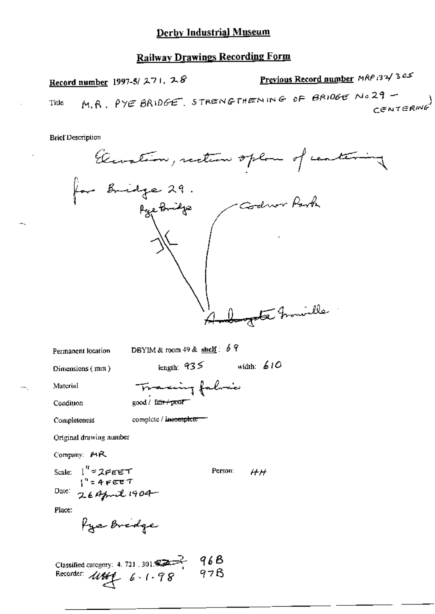## **Railway Drawings Recording Form**

Previous Record number MRP 132/305 Record number 1997-5/ $271.28$ M.R. PYE BRIDGE. STRENGTHENING OF BRIDGE NO29 - $CENTERMO$ Title

**Brief Description** 

Generalization, reduction of the  
\n*h* and *h* are 29.

\nGeneral location  
\nDEFINATE: The  
\nDimension of the  
\nMean of the  
\nMean of the  
\nMean of the  
\nMean of the  
\nMean of the  
\nStandard  
\nConformal drawing number  
\nComparing number  
\nComparing number  
\nComparing *HR*  
\nState: 
$$
1^n = 2eee+7
$$
  
\nRate:  $1^n = 2ee+7$   
\nRate:  $2e+4p-1904$   
\nPhase:  $e+721.301$   
\nPhase:  $e+721.301$   
\nCase:  $e+78.97$   
\nCase:  $441.61$   
\nArea in the  
\nRecorder:  $441.61$   
\nArea in the  
\nRecorder:  $441.61$   
\nArea in the  
\nRecorder:  $441.61$   
\nArea in the  
\nRecorder:  $441.61$   
\nArea in the  
\nRecorder:  $441.61$   
\nArea in the  
\nRecorder:  $441.61$   
\nArea in the  
\nRecall:  $4 \times 1.78$   
\nCase: 7  
\nCase: 7  
\nCase: 8  
\nArea in the  
\nCase: 1004  
\nArea in the  
\nCase: 1004  
\nArea in the  
\nCase: 1004  
\nArea in the  
\nCase: 1004  
\nArea in the  
\nCase: 1004  
\nArea in the  
\nCase: 1004  
\nArea in the  
\nCase: 1004  
\nArea in the  
\nCase: 1004  
\nArea in the  
\nCase: 1004  
\nArea in the  
\nCase: 1004  
\nArea in the  
\nCase: 1004  
\nArea in the  
\nCase: 1004  
\nArea in the  
\nCase: 1004  
\nArea in the  
\nCase: 1004  
\nArea in the  
\nCase: 1004  
\nArea in the  
\nCase: 1004  
\nArea in the  
\nCase: 1004  
\nArea in the  
\nCase: 1004  
\nArea in the  
\nCase: 1004  
\nArea in the  
\nCase: 1004  
\nArea

щ,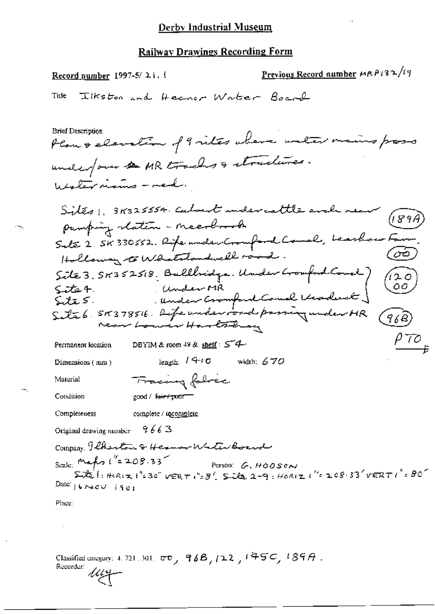Previous Record number HRP132/19 Record number  $1997-5/21$ . Ilkston and Heaver Water Board Title **Brief Description** Plan & elevation of 9 vites where unter mains pass underfour & MR tracks & structures. Westernians-red. Sites 1, 318325554. Calvent undercattle and<br>pamping reation - meerbook Sete 2. SK 330552. Rife under Crounford Council, Leasthow F Holloway to Whatstandwell road. Site 3. 58352518. Bullbridge. Under Gomford Court)<br>Site 4. Under MR<br>Site 5. SR378516. Life under road prosing under MR<br>Site 6. SR378516. Life under road prosing under MR (120)  $(968)$ 070 Permanent location DBYIM & room 49 & shelf : 54 length:  $1410$  width: 670 Dimensions (mm) Fracing fabric Material Condition \_good / <del>fuir / pour =</del> Completeness complete / inco<u>mplete</u> 9663 Original drawing number Company Phonton & Herman Witchbornd Scale: Marts ("=208.33" Person: G. HOOSON  $5.05$ ,  $\frac{1}{2}$ ,  $\frac{1}{2}$ ,  $\frac{1}{2}$ ,  $\frac{1}{2}$ ,  $\frac{1}{2}$ ,  $\frac{1}{2}$ ,  $\frac{1}{2}$ ,  $\frac{1}{2}$ ,  $\frac{1}{2}$ ,  $\frac{1}{2}$ ,  $\frac{1}{2}$ ,  $\frac{1}{2}$ ,  $\frac{1}{2}$ ,  $\frac{1}{2}$ ,  $\frac{1}{2}$ ,  $\frac{1}{2}$ ,  $\frac{1}{2}$ ,  $\frac{1}{2}$ ,  $\frac{1}{2}$ ,  $\frac{$ Date:  $6 \times 60$  if  $61$ Place:

Classified entegary: 4, 721, 301,  $\sigma\sigma$ ,  $96B$ ,  $/22$ ,  $/45C$ ,  $/89A$ . Recorder: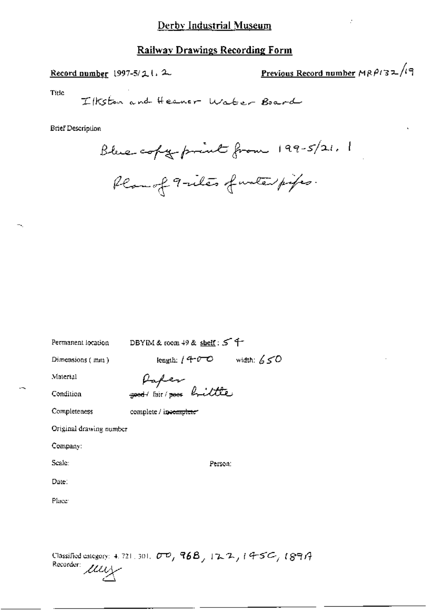## Railway Drawings Recording Form

Record number 1997-5/2  $\iota$ . 2

Previous Record number  $MRPI32/19$ 

Title

Ilkston and Heaver Water Board

**Brief Description** 

Blue copy print from 199-5/21. 1 Plan of 9-iles of unterprifes.

د م

| Permanent location      | DBYM & room $49$ & shelf: $5$ +      |
|-------------------------|--------------------------------------|
| Dimensions (mm)         | width: $650$<br>length: / $40^\circ$ |
| Material                |                                      |
| Condition               | Paper<br>good fair poor brittle      |
| Completeness            | complete / incomplete"               |
| Original drawing number |                                      |
| Company:                |                                      |
| Scale:                  | Person:                              |
| Date:                   |                                      |
| Place:                  |                                      |
|                         |                                      |
|                         |                                      |

Classified category: 4, 721, 301,  $\sigma \mathcal{D}$ ,  $96B$ ,  $12.2$ ,  $14.5C$ ,  $189A$ Recorder: *ULLY*